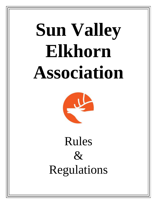# **Sun Valley Elkhorn Association**



Rules  $\&$ Regulations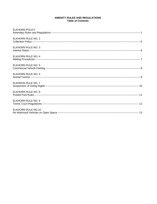# AMENITY RULES AND REGULATIONS **Table of Contents**

| <b>ELKHORN POLICY</b>     |
|---------------------------|
| ELKHORN RULE NO. 2        |
| ELKHORN RULE NO. 3        |
| ELKHORN RULE NO. 4        |
| ELKHORN RULE NO. 5        |
| ELKHORN RULE NO. 6        |
| ELKHRON RULE NO. 7        |
| ELKHORN RULE NO. 8        |
| ELKHORN RULE NO. 9        |
| <b>ELKHORN RULE NO.10</b> |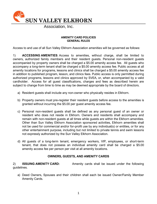

# **AMENITY CARD POLICIES GENERAL RULES**

Access to and use of all Sun Valley Elkhorn Association amenities will be governed as follows:

1) **ACCESSING AMENITIES**: Access to amenities, without charge, shall be limited to owners, authorized family members and their resident guests. Personal non-resident guests accompanied by property owners shall be charged a \$5.00 amenity access fee. All guests who accompany a long-term tenant shall be charged a \$5.00 amenity access fee. Public access at all amenity locations for programs, lessons and clinics shall be charged a \$5.00 amenity access fee in addition to published program, lesson, and clinics fees. Public access is only permitted during authorized programs, lessons and clinics approved by SVEA, or, when accompanied by a valid cardholder. Access for all guest classifications, charges and fees as described herein are subject to change from time to time as may be deemed appropriate by the board of directors.

- a) Resident guests shall include any non-owner who physically resides in Elkhorn.
- b) Property owners must pre-register their resident guests before access to the amenities is granted without incurring the \$5.00 per guest amenity access fee.
- c) Personal non-resident guests shall be defined as any personal guest of an owner or resident who does not reside in Elkhorn. Owners and residents shall accompany and remain with non-resident guests at all times while guests are within the Elkhorn amenities. Other than Sun Valley Elkhorn Association sponsored activities, Elkhorn amenities shall not be used for commercial and/or for-profit use by any individual(s) or entities, or for any other entertainment purpose, including but not limited to private tennis and swim lessons not expressly authorized by the Sun Valley Elkhorn Association.
- d) All guests of a long-term tenant, emergency workers, VIP, employees, or short-term tenant, that does not possess an individual amenity card shall be charged a \$5.00 amenity access fee per person per visit at all amenity locations.

# **OWNERS, GUESTS, AND AMENITY CARDS**

2) **ISSUING AMENITY CARD:** Amenity cards shall be issued under the following guidelines.

a) Deed Owners, Spouses and their children shall each be issued Owner/Family Member Amenity Cards.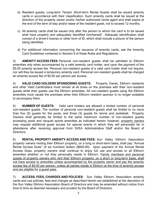- b) Resident guests, Long-term Tenant, Short-term Rental Guests shall be issued amenity cards in accordance with their classification. Such amenity cards shall be issued at the direction of the property owner and/or his/her authorized rental agent and shall expire at the end of the term of stay and/or lease of the resident guest, not to exceed 12 months.
- c) All amenity cards shall be issued only after the person to whom the card is to be issued shall have properly and adequately identified him/herself. Adequate identification shall consist of a driver's license or other form of ID, which shall include a picture of the person being identified.
- d) For additional information concerning the issuance of amenity cards, see the Amenity Card Guidelines contained in Section 8 of these Rules and Regulations.

3) **AMENITY ACCESS FEES**: Personal non-resident guests shall be admitted to Elkhorn amenities only when accompanied by a valid amenity card holder, and upon the payment of the \$5.00 amenity access fee. Personal non-resident guests of a valid card holder shall not require, nor will they be issued a temporary amenity card. Personal non-resident guests shall be charged an amenity access fee of \$5.00 per person per access.

4) **VALID CARD HOLDERS SPONSORING GUESTS:** Property Owner, Elkhorn residents and other Valid Cardholders must remain at all times on the premises with their non-resident guests while their guests use the Elkhorn amenities. All non-resident guests using the Elkhorn amenities must vacate the premises when their Elkhorn resident sponsor is no longer available to accompany them.

5) **NUMBER OF GUESTS:** Valid card holders are allowed a limited number of personal non-resident guests. The number of personal non-resident guests shall be limited to no more than five (5) guests for the pools, and three (3) guests for tennis and pickleball. Property Owners shall generally be limited to the same maximum number of non-resident guests accessing pools and racquet sports amenities as indicated herein; however, property owners may request additional guest access for special events in which they will personally be in attendance after receiving approval from SVEA Administrative Staff and/or the Board of Directors.

6) **RENTAL PROPERTY AMENITY ACCESS AND FEES:** Sun Valley Elkhorn Association property owners renting their Elkhorn property, on a long or short-term basis, shall pay "Annual Rental Access Dues" of six hundred dollars (\$600.00). Upon payment of the Annual Rental Access Dues, property owners shall continue to enjoy full use and access to all Elkhorn amenities whether or not they personally reside in Elkhorn. Family members and personal guests of property owners who rent their Elkhorn property, on a short or long-term basis, shall not have access to amenities unless accompanied by the property owner and pay the amenity access fee of \$5.00 per person, unless all parties reside in Elkhorn at the time of amenity access and are eligible for a guest pass.

7) **ACCESS, FEES, CHARGES AND POLICIES:** Sun Valley Elkhorn Association amenity cards and use policies, fees and charges as described herein are established at the discretion of the Sun Valley Elkhorn Association Board of Directors and may be amended without notice from time to time as deemed necessary and prudent by the Board of Directors.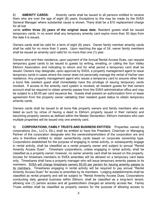8) **AMENITY CARDS:** Amenity cards shall be issued to all persons entitled to receive them who are over the age of eight (8) years. Exceptions to this may be made by the SVEA General Manager where substantial cause is shown. There shall be a \$10 replacement charge for all lost

cards **within three (3) years of the original issue date.** Resident guests shall be issued temporary cards. In no event shall any temporary amenity card expire more than 30 days from the date it is issued.

Owners cards shall be valid for a term of eight (8) years. Owner family member amenity cards shall be valid for no more than 3 years. Upon reaching the age of 24, owner family members shall be issued an amenity card valid for no more than one (1) year.

Owners who rent their residence, upon payment of the Annual Rental Access Dues, can request temporary guest cards to be issued to guests by writing, emailing, or calling the Sun Valley Elkhorn Association and indicating to whom and for what period a temporary card shall be issued. Owners may designate, upon approval by SVEA, a property management agent to issue temporary cards in cases where the owner does not personally manage the rental of his/her own residence. Any property management agent who issues a temporary card to anyone other than a bona fide resident guest shall immediately have the privilege of issuing temporary cards revoked. If access to the amenity card system is revoked, all resident guests for that owners account shall be required to obtain amenity passes from the SVEA administrative office and may be subject to a \$5.00 per card issuance fee. Guests shall present an authorization form or lease agreement from the property owner validating their resident guest status to obtain temporary amenity cards.

Owners cards shall be issued to all bona fide property owners and family members who are listed as such by virtue of having a deed to Elkhorn property issued in their name(s) and becoming property owners as defined within the Master Declaration. Elkhorn members who own multiple properties will be issued only one amenity card.

9) **CORPORATIONS, FAMILY TRUSTS AND BUSINESS ENTITIES:** Properties owned by corporations (Inc., LLC's, Etc.) shall be entitled to have the President, Chairman or Managing Partner of the corporation designate who the owners/shareholders of the corporation are and who is therefore entitled to obtain owner/family cards based on corporate ownership type. Corporations established for the purpose of engaging in rental activity, or subsequently engage in rental activity, shall be classified as a rental property owner and subject to annual "Rental Amenity Access Dues". Timeshare corporations, unless engaging in rental activity, shall be classified as a property owner; however, no owner amenity card shall be issued on the property. Access for timeshare members to SVEA amenities will be allowed on a temporary card basis only. Timeshares shall have a property manager who will issue temporary amenity passes to its members. SVEA will charge timeshare owners \$5.00 per person for issuing amenity passes to its members. Timeshares engaging in rental activity will be required to pay annual "Rental Amenity Access Dues" for access to amenities by its members. Lodging establishments shall be classified as rental property and will be subject to "Rental Amenity Access Dues. Corporations conducting daily general business within Elkhorn, shall be classified as a long-term tenant, allowing one (1) person access and all guests/others charged an amenity access fee. Family Trusts entities shall be classified as property owners for the purpose of allowing access to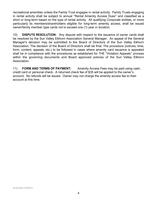recreational amenities unless the Family Trust engages in rental activity. Family Trusts engaging in rental activity shall be subject to annual "Rental Amenity Access Dues" and classified as a short or long-term based on the type of rental activity. All qualifying Corporate entities, or more particularly its members/shareholders eligible for long-term amenity access, shall be issued owner/family member type cards not to exceed one (1) year in duration.

10) **DISPUTE RESOLUTION:** Any dispute with respect to the issuance of owner cards shall be resolved by the Sun Valley Elkhorn Association General Manager. An appeal of the General Manager's decision may be submitted to the Board of Directors of the Sun Valley Elkhorn Association. The decision of the Board of Directors shall be final. The procedure (notices, time, form, content, appeals, etc.) to be followed in cases where amenity card issuance is appealed shall be in compliance with the procedures as established for THE "Violation Appeals" process within the governing documents and Board approved policies of the Sun Valley Elkhorn Association.

11) **FORM AND TERMS OF PAYMENT:** Amenity Access Fees may be paid using cash, credit card or personal check. A returned check fee of \$35 will be applied to the owner's account. No refunds will be issued. Owner may not charge the amenity access fee to their account at this time.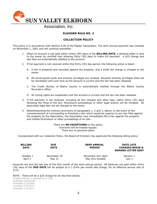

## **ELKHORN RULE NO. 2**

## **COLLECTION POLICY**

This policy is in accordance with Section 9.06 of the Master Declaration. The semi-annual payment was initiated on November 1, 2001 and will continue thereafter.

- 1. When an account is not paid within ninety (90) days of the **BILLING DATE,** a demand letter is sent to the owner by certified mail allowing thirty (30) days to make full payment. A \$25 charge and late fees are automatically debited to the account.
- 2. If full payment is not received within the thirty (30) day period, the following action is taken:
	- A. A lien is prepared and recorded against the property, and a \$200 lien charge is charged to the owner.
	- B. All owner/guest cards and amenity privileges are revoked. Revoked amenity privileges shall not be reinstated until such time as the account is current and the lien has been released.
	- C. The Credit Bureau of Blaine County is automatically notified through the Blaine County Recorder's office.
	- D. All voting rights are suspended until the account is current and the lien has been released.
- 3. If full payment is not received, including all lien charges and other fees, within thirty (30) days following the filing of the lien, foreclosure proceedings or other legal actions will be initiated. All associated legal fees will be charged to the owner.
- 4. Notwithstanding the contrary provisions of paragraphs 1, 2 and 3, above, in the event of the commencement of a proceeding to foreclose a lien which would be superior to any lien filed against the property by the Association, the Association may immediately file a lien against the property and initiate foreclosure or other proceedings of its own.

There are **NO EXCEPTIONS** to this policy. Everyone will be treated equally. There are no payment plans.

Incorporated with our Collection Policy, the Board of Directors has approved the following billing policy:

| <b>BILLING</b><br><b>DATE</b> | <b>DUE</b><br><b>DATE</b> | <b>SEMI-ANNUAL</b><br><b>PERIOD</b> | <b>DATE LATE</b><br><b>CHARGES BEGIN &amp;</b><br><b>DEMAND LETTER SENT</b> |
|-------------------------------|---------------------------|-------------------------------------|-----------------------------------------------------------------------------|
| October 1                     | November 30               | November thru April                 | January 1                                                                   |
| April 1                       | May 31                    | May thru October                    | July 1                                                                      |

Accounts are due the last day of the first month of the semi-annual period. All balances not paid within thirty (30) days of the **DUE DATE** will be subject to a 1-3/4% per month late charge, for an effective annual rate of 21%.

NOTE: There will be a \$25 charge for all returned checks.

Original Rule No. 2 adopted 9/23-1993 Amended 10/05/2001 Amended 2/13/2006 Amended 7/15/2010 Amended 7/19/2011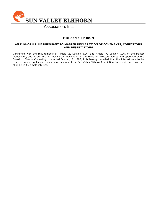

## **ELKHORN RULE NO. 3**

#### **AN ELKHORN RULE PURSUANT TO MASTER DECLARATION OF COVENANTS, CONDITIONS AND RESTRICTIONS**

Consistent with the requirements of Article VI, Section 6.06, and Article IX, Section 9.06, of the Master Declaration, and as set forth in that certain Resolution of the Board of Directors passed and approved at the Board of Directors' meeting conducted January 2, 1985, it is hereby provided that the interest rate to be assessed upon regular and special assessments of the Sun Valley Elkhorn Association, Inc., which are past due shall be 21%, simple interest.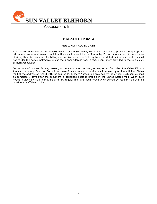

## **ELKHORN RULE NO. 4**

#### **MAILING PROCEDURES**

It is the responsibility of the property owners of the Sun Valley Elkhorn Association to provide the appropriate official address or addresses to which notices shall be sent by the Sun Valley Elkhorn Association of the purpose of citing them for violation, for billing and for like purposes. Delivery to an outdated or improper address shall not render the notice ineffective unless the proper address had, in fact, been timely provided to the Sun Valley Elkhorn Association.

For service of process for any reason, for any notice or decision, or any other from the Sun Valley Elkhorn Association or any Board or Committee thereof, such notice or service shall be sent by ordinary United States mail at the address of record with the Sun Valley Elkhorn Association provided by the owner. Such service shall be complete 7 days after the document is deposited postage prepaid in the United States mail. When such notice is given by mail, it may be given by regular mail and such notice when served by regular mail shall be considered sufficient notice.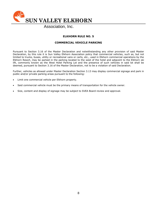

# **ELKHORN RULE NO. 5**

#### **COMMERCIAL VEHICLE PARKING**

Pursuant to Section 3.16 of the Master Declaration and notwithstanding any other provision of said Master Declaration, by this rule it is Sun Valley Elkhorn Association policy that commercial vehicles, such as, but not limited to trucks, buses, utility or recreational vans or carts, etc., used in Elkhorn commercial operations by the Elkhorn Resort, may be parked in the parking located to the west of the hotel and adjacent to the Elkhorn ski lift, commonly known as the West Hotel Parking Lot and the presence of such vehicles in said lot shall be deemed, pursuant to Section 3.16 of the Master Declaration, not to be a violation of said Declaration.

Further, vehicles as allowed under Master Declaration Section 3.13 may display commercial signage and park in public and/or private parking areas pursuant to the following:

- Limit one commercial vehicle per Elkhorn property.
- Said commercial vehicle must be the primary means of transportation for the vehicle owner.
- Size, content and display of signage may be subject to SVEA Board review and approval.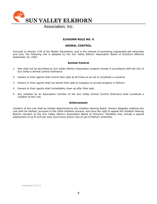**SUN VALLEY ELKHORN**

Association, Inc.

## **ELKHORN RULE NO. 6**

#### **ANIMAL CONTROL**

Pursuant to Section 3.05 of the Master Declaration, and in the interest of promoting responsible pet ownership and care, the following rule is adopted by the Sun Valley Elkhorn Association Board of Directors effective September 24, 1992:

## **Animal Control**

- 1. Pets shall not be permitted on Sun Valley Elkhorn Association property except in accordance with the City of Sun Valley's Animal Control Ordinance.
- 2. Owners or their agents shall control their pets at all times so as not to constitute a nuisance.
- 3. Owners or their agents shall not permit their pets to trespass on private property in Elkhorn.
- 4. Owners or their agents shall immediately clean up after their pets.
- 5. Any violation by an Association member of the Sun Valley Animal Control Ordinance shall constitute a violation of this rule.

#### **Enforcement**

Violation of this rule shall be initially determined by the Violation Hearing Board. Owners allegedly violating this rule shall be notified, pursuant to the SVEA Violation process, and have the right to appeal the Violation Hearing Board's decision to the Sun Valley Elkhorn Association Board of Directors. Penalties may include a special assessment of up to \$10 per each occurrence and/or loss of use of Elkhorn amenities.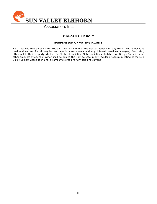

# **ELKHORN RULE NO. 7**

## **SUSPENSION OF VOTING RIGHTS**

Be it resolved that pursuant to Article VI, Section 6.04H of the Master Declaration any owner who is not fully paid and current for all regular and special assessments and any interest penalties, charges, fees, etc., attendant to their property whether for Master Association, Subassociations, Architectural Design Committee or other amounts owed, said owner shall be denied the right to vote in any regular or special meeting of the Sun Valley Elkhorn Association until all amounts owed are fully paid and current.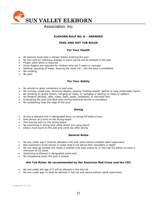

## **ELKHORN RULE NO. 8 – AMENDED**

## **POOL AND HOT TUB RULES**

#### **For Your Health**

- All persons must take a shower before entering the pool
- No one with an infectious disease or open wound will be allowed in the pool
- Proper swim attire is required
- Swim diapers are required for children who are 3 years or younger
- Spitting, spouting of water, blowing the nose, etc., into the pool is prohibited
- No smoking
- No pets

#### **For Your Safety**

- No alcohol or glass containers in pool area
- No running, rough play, throwing objects, playing "holding breath" games or long underwater swims
- No climbing on guard towers, hanging on ropes, or swinging or playing on steps or ladders
- No flotation devices, rafts, tubes, balls, boats, torpedoes, or mermaid tails
- Evacuating the pool and deck area during electrical storms is mandatory
- No sunbathing near the edge of the pool

#### **Diving**

- Diving is allowed only in designated area; no diving off sides of pool
- One person at a time on the diving board
- One bounce only on the diving board
- No swimming in diving tank while divers are using board
- Divers must swim to the side and climb out after diving

#### **General Rules**

- No one under age 7 shall be allowed in the pool area without suitable adult supervision
- Non-swimmers must remain in water that is not above their shoulders in depth
- No one shall go outside the roped in shallow end area unless he or she has the ability to swim a minimum of 25 yards
- Swimming is allowed in designated areas only
- No trespassing when the pool is closed

#### **Hot Tub Rules: As recommended by the American Red Cross and the CDC**

- No one under the age of 5 will be allowed in the hot tub
- No one under age 14 shall be allowed in hot tub and sauna without adult supervision

Amended 3/7/19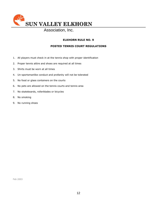

# **ELKHORN RULE NO. 9**

## **POSTED TENNIS COURT REGULATIONS**

- 1. All players must check in at the tennis shop with proper identification
- 2. Proper tennis attire and shoes are required at all times
- 3. Shirts must be worn at all times
- 4. Un-sportsmanlike conduct and profanity will not be tolerated
- 5. No food or glass containers on the courts
- 6. No pets are allowed on the tennis courts and tennis area
- 7. No skateboards, rollerblades or bicycles
- 8. No smoking
- 9. No running shoes